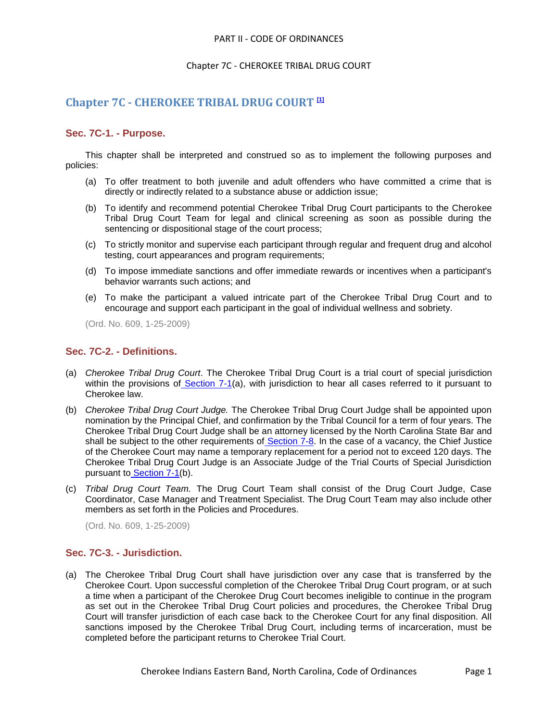#### PART II - CODE OF ORDINANCES

# Chapter 7C - CHEROKEE TRIBAL DRUG COURT

# **Chapter 7C - CHEROKEE TRIBAL DRUG COURT [1]**

# **Sec. 7C-1. - Purpose.**

This chapter shall be interpreted and construed so as to implement the following purposes and policies:

- (a) To offer treatment to both juvenile and adult offenders who have committed a crime that is directly or indirectly related to a substance abuse or addiction issue;
- (b) To identify and recommend potential Cherokee Tribal Drug Court participants to the Cherokee Tribal Drug Court Team for legal and clinical screening as soon as possible during the sentencing or dispositional stage of the court process;
- (c) To strictly monitor and supervise each participant through regular and frequent drug and alcohol testing, court appearances and program requirements;
- (d) To impose immediate sanctions and offer immediate rewards or incentives when a participant's behavior warrants such actions; and
- (e) To make the participant a valued intricate part of the Cherokee Tribal Drug Court and to encourage and support each participant in the goal of individual wellness and sobriety.

(Ord. No. 609, 1-25-2009)

## **Sec. 7C-2. - Definitions.**

- (a) *Cherokee Tribal Drug Court*. The Cherokee Tribal Drug Court is a trial court of special jurisdiction within the provisions of [Section 7-1\(](file:///C:/Users/lauren/AppData/Local/level2/PTIICOOR_CH7JUCO.docx%23PTIICOOR_CH7JUCO_S7-1COJUBR)a), with jurisdiction to hear all cases referred to it pursuant to Cherokee law.
- (b) *Cherokee Tribal Drug Court Judge.* The Cherokee Tribal Drug Court Judge shall be appointed upon nomination by the Principal Chief, and confirmation by the Tribal Council for a term of four years. The Cherokee Tribal Drug Court Judge shall be an attorney licensed by the North Carolina State Bar and shall be subject to the other requirements of [Section 7-8.](file:///C:/Users/lauren/AppData/Local/level2/PTIICOOR_CH7JUCO.docx%23PTIICOOR_CH7JUCO_S7-8JUQU) In the case of a vacancy, the Chief Justice of the Cherokee Court may name a temporary replacement for a period not to exceed 120 days. The Cherokee Tribal Drug Court Judge is an Associate Judge of the Trial Courts of Special Jurisdiction pursuant to [Section 7-1\(](file:///C:/Users/lauren/AppData/Local/level2/PTIICOOR_CH7JUCO.docx%23PTIICOOR_CH7JUCO_S7-1COJUBR)b).
- (c) *Tribal Drug Court Team.* The Drug Court Team shall consist of the Drug Court Judge, Case Coordinator, Case Manager and Treatment Specialist. The Drug Court Team may also include other members as set forth in the Policies and Procedures.

(Ord. No. 609, 1-25-2009)

# **Sec. 7C-3. - Jurisdiction.**

(a) The Cherokee Tribal Drug Court shall have jurisdiction over any case that is transferred by the Cherokee Court. Upon successful completion of the Cherokee Tribal Drug Court program, or at such a time when a participant of the Cherokee Drug Court becomes ineligible to continue in the program as set out in the Cherokee Tribal Drug Court policies and procedures, the Cherokee Tribal Drug Court will transfer jurisdiction of each case back to the Cherokee Court for any final disposition. All sanctions imposed by the Cherokee Tribal Drug Court, including terms of incarceration, must be completed before the participant returns to Cherokee Trial Court.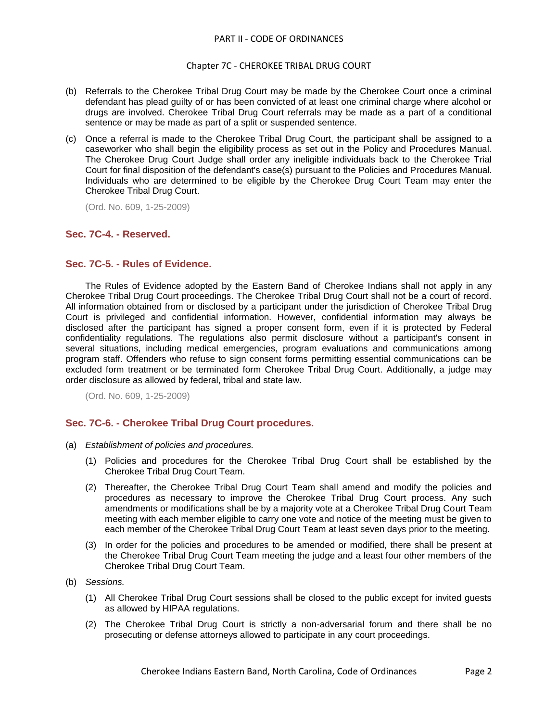#### PART II - CODE OF ORDINANCES

#### Chapter 7C - CHEROKEE TRIBAL DRUG COURT

- (b) Referrals to the Cherokee Tribal Drug Court may be made by the Cherokee Court once a criminal defendant has plead guilty of or has been convicted of at least one criminal charge where alcohol or drugs are involved. Cherokee Tribal Drug Court referrals may be made as a part of a conditional sentence or may be made as part of a split or suspended sentence.
- (c) Once a referral is made to the Cherokee Tribal Drug Court, the participant shall be assigned to a caseworker who shall begin the eligibility process as set out in the Policy and Procedures Manual. The Cherokee Drug Court Judge shall order any ineligible individuals back to the Cherokee Trial Court for final disposition of the defendant's case(s) pursuant to the Policies and Procedures Manual. Individuals who are determined to be eligible by the Cherokee Drug Court Team may enter the Cherokee Tribal Drug Court.

(Ord. No. 609, 1-25-2009)

## **Sec. 7C-4. - Reserved.**

#### **Sec. 7C-5. - Rules of Evidence.**

The Rules of Evidence adopted by the Eastern Band of Cherokee Indians shall not apply in any Cherokee Tribal Drug Court proceedings. The Cherokee Tribal Drug Court shall not be a court of record. All information obtained from or disclosed by a participant under the jurisdiction of Cherokee Tribal Drug Court is privileged and confidential information. However, confidential information may always be disclosed after the participant has signed a proper consent form, even if it is protected by Federal confidentiality regulations. The regulations also permit disclosure without a participant's consent in several situations, including medical emergencies, program evaluations and communications among program staff. Offenders who refuse to sign consent forms permitting essential communications can be excluded form treatment or be terminated form Cherokee Tribal Drug Court. Additionally, a judge may order disclosure as allowed by federal, tribal and state law.

(Ord. No. 609, 1-25-2009)

# **Sec. 7C-6. - Cherokee Tribal Drug Court procedures.**

- (a) *Establishment of policies and procedures.*
	- (1) Policies and procedures for the Cherokee Tribal Drug Court shall be established by the Cherokee Tribal Drug Court Team.
	- (2) Thereafter, the Cherokee Tribal Drug Court Team shall amend and modify the policies and procedures as necessary to improve the Cherokee Tribal Drug Court process. Any such amendments or modifications shall be by a majority vote at a Cherokee Tribal Drug Court Team meeting with each member eligible to carry one vote and notice of the meeting must be given to each member of the Cherokee Tribal Drug Court Team at least seven days prior to the meeting.
	- (3) In order for the policies and procedures to be amended or modified, there shall be present at the Cherokee Tribal Drug Court Team meeting the judge and a least four other members of the Cherokee Tribal Drug Court Team.
- (b) *Sessions.*
	- (1) All Cherokee Tribal Drug Court sessions shall be closed to the public except for invited guests as allowed by HIPAA regulations.
	- (2) The Cherokee Tribal Drug Court is strictly a non-adversarial forum and there shall be no prosecuting or defense attorneys allowed to participate in any court proceedings.